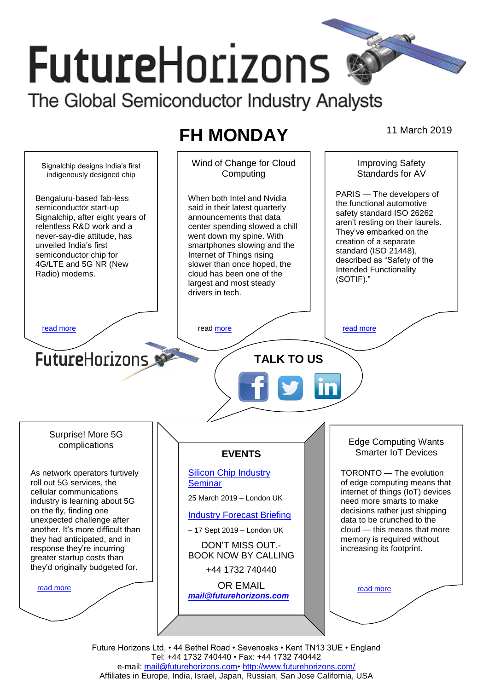# **FutureHorizons** The Global Semiconductor Industry Analysts

# **FH MONDAY** 11 March 2019

Wind of Change for Cloud Improving Safety Signalchip designs India's first Standards for AV **Computing** indigenously designed chip PARIS — The developers of Bengaluru-based fab-less When both Intel and Nvidia the functional automotive semiconductor start-up said in their latest quarterly safety standard ISO 26262 Signalchip, after eight years of announcements that data aren't resting on their laurels. relentless R&D work and a center spending slowed a chill They've embarked on the never-say-die attitude, has went down my spine. With creation of a separate unveiled India's first smartphones slowing and the standard (ISO 21448), semiconductor chip for Internet of Things rising described as "Safety of the 4G/LTE and 5G NR (New slower than once hoped, the Intended Functionality Radio) modems. cloud has been one of the (SOTIF)." largest and most steady drivers in tech. [read more](#page-1-1) that the second contract the contract of the read [more](#page-1-2) that the read more that the read more that the  $\sim$ **Future**Horizons **TALK TO US** Surprise! More 5G Edge Computing Wants complications Smarter IoT Devices **EVENTS** [Silicon Chip Industry](http://www.futurehorizons.com/page/12/silicon-chip-training)  TORONTO — The evolution As network operators furtively roll out 5G services, the of edge computing means that **[Seminar](http://www.futurehorizons.com/page/12/silicon-chip-training)** cellular communications internet of things (IoT) devices 25 March 2019 – London UK industry is learning about 5G need more smarts to make on the fly, finding one decisions rather just shipping [Industry Forecast Briefing](http://www.futurehorizons.com/page/13/Semiconductor-Market-Forecast-Seminar) unexpected challenge after data to be crunched to the another. It's more difficult than – 17 Sept 2019 – London UK cloud — this means that more they had anticipated, and in memory is required without DON'T MISS OUT. response they're incurring increasing its footprint. BOOK NOW BY CALLING greater startup costs than they'd originally budgeted for.+44 1732 740440 OR EMAIL [read more](#page-1-3) [read more](#page-1-4) *[mail@futurehorizons.com](mailto:mail@futurehorizons.com)*

> Future Horizons Ltd, • 44 Bethel Road • Sevenoaks • Kent TN13 3UE • England Tel: +44 1732 740440 • Fax: +44 1732 740442 e-mail: [mail@futurehorizons.com•](../FH%20Monday%20-%202017/mail@futurehorizons.com)<http://www.futurehorizons.com/> Affiliates in Europe, India, Israel, Japan, Russian, San Jose California, USA